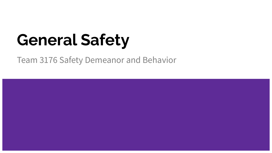# **General Safety**

Team 3176 Safety Demeanor and Behavior

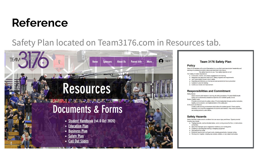#### **Reference**

**TEAM** 

#### Safety Plan located on Team3176.com in Resources tab.

**About Us** 

**Parent Info** 

#### **Resources**

lome

Snonsors

ALON PLANSPERSON FROM AT 1 276 **Documents & Forms** 

- Student Handbook (v4.0 Oct 2020)
- Education Plan
- Business Plan
- Safety Plan
- Call Out Slides

#### Team 3176 Safety Plan

#### **Policy**

Q  $|$  on  $|n$ 

**More** 

Team 3176 members will conduct themselves in a way that maximizes student leadership and learning of a professional safety culture and minimizes risk of injury.

- "My safety depends on you. Your safety depends on me" The Safety of culture depends on:
- · Full student, mentor, and advisor engagement and learning
- . Integration and alignment with BCSC safety programs and requirements
- · Joint responsibility of each other's safety.
- . Reporting and following up of all injuries and accidents for future prevention
- Systems in place for training
- Continuous review and improvement

#### **Responsibilities and Commitment**

Safety Mentor

- Guide students and mentors in learning all safety procedures. Provide HS&E(Health Safety and environment) compliance expertise and maintain quality control. **Student Safety Leads**
- Promote commitment of a safety culture. Provide leadership through positive motivation, healthy communication, and implementation of the safety plan.

All Students and Mentors

Create a safe learning environment which allows for student growth. Foster positive interaction and proactive engagement of students and mentors. Help ensure all parties are working toward a safe culture.

#### **Safety Hazards**

Safety Hazards include unsafe conditions that can cause injury and illness. Typical potential hazards may include:

- . Tripping hazards, such as blocked aisles, cords running across the floor, or obstructions on the floor.
- . Injury from improper use or unquarded machinery and moving parts.
- . Crushing or pinching from moving or dropping equipment
- · Slip hazards from spills
- · Electrical hazards such as fraved cords, missing ground pins, improper wiring.
- . Working from heights, including step ladders, ladders, or any raised work areas.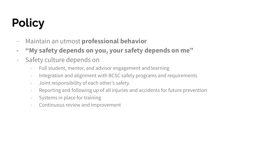## **Policy**

- Maintain an utmost **professional behavior**
- **- "My safety depends on you, your safety depends on me"**
- Safety culture depends on
	- Full student, mentor, and advisor engagement and learning
	- Integration and alignment with BCSC safety programs and requirements
	- Joint responsibility of each other's safety.
	- Reporting and following up of all injuries and accidents for future prevention
	- Systems in place for training
	- Continuous review and improvement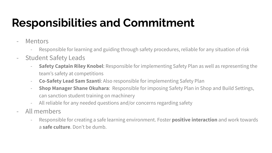### **Responsibilities and Commitment**

- Mentors
	- Responsible for learning and guiding through safety procedures, reliable for any situation of risk
- Student Safety Leads
	- **Safety Captain Riley Knobel**: Responsible for implementing Safety Plan as well as representing the team's safety at competitions
	- **Co-Safety Lead Sam Szanti**: Also responsible for implementing Safety Plan
	- **Shop Manager Shane Okuhara**: Responsible for imposing Safety Plan in Shop and Build Settings, can sanction student training on machinery
	- All reliable for any needed questions and/or concerns regarding safety
- All members
	- Responsible for creating a safe learning environment. Foster **positive interaction** and work towards a **safe culture**. Don't be dumb.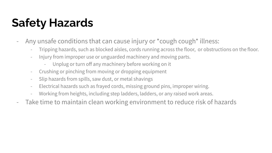## **Safety Hazards**

- Any unsafe conditions that can cause injury or \*cough cough\* illness:
	- Tripping hazards, such as blocked aisles, cords running across the floor, or obstructions on the floor.
	- Injury from improper use or unguarded machinery and moving parts.
		- Unplug or turn off any machinery before working on it
	- Crushing or pinching from moving or dropping equipment
	- Slip hazards from spills, saw dust, or metal shavings
	- Electrical hazards such as frayed cords, missing ground pins, improper wiring.
	- Working from heights, including step ladders, ladders, or any raised work areas.
- Take time to maintain clean working environment to reduce risk of hazards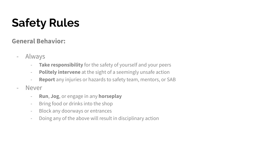## **Safety Rules**

#### **General Behavior:**

- Always
	- **Take responsibility** for the safety of yourself and your peers
	- **Politely intervene** at the sight of a seemingly unsafe action
	- **Report** any injuries or hazards to safety team, mentors, or SAB
- Never
	- **Run**, **Jog**, or engage in any **horseplay**
	- Bring food or drinks into the shop
	- Block any doorways or entrances
	- Doing any of the above will result in disciplinary action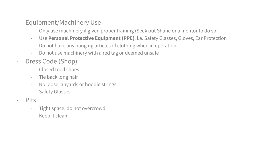- Equipment/Machinery Use
	- Only use machinery if given proper training (Seek out Shane or a mentor to do so)
	- Use **Personal Protective Equipment (PPE)**, i.e. Safety Glasses, Gloves, Ear Protection
	- Do not have any hanging articles of clothing when in operation
	- Do not use machinery with a red tag or deemed unsafe
- Dress Code (Shop)
	- Closed toed shoes
	- Tie back long hair
	- No loose lanyards or hoodie strings
	- Safety Glasses
- Pits
	- Tight space, do not overcrowd
	- Keep it clean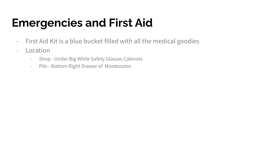### **Emergencies and First Aid**

- First Aid Kit is a blue bucket filled with all the medical goodies
- Location
	- Shop Under Big White Safety Glasses Cabinets
	- Pits Bottom Right Drawer of Montezuma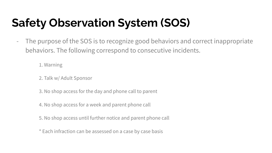## **Safety Observation System (SOS)**

- The purpose of the SOS is to recognize good behaviors and correct inappropriate behaviors. The following correspond to consecutive incidents.

1. Warning

2. Talk w/ Adult Sponsor

3. No shop access for the day and phone call to parent

4. No shop access for a week and parent phone call

5. No shop access until further notice and parent phone call

\* Each infraction can be assessed on a case by case basis